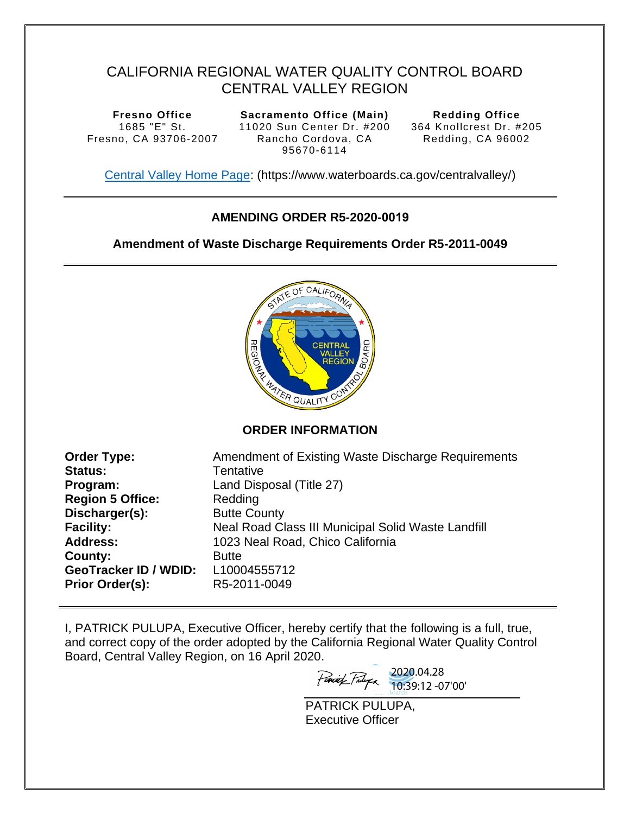# CALIFORNIA REGIONAL WATER QUALITY CONTROL BOARD CENTRAL VALLEY REGION

**Fresno Office**  1685 "E" St. Fresno, CA 93706-2007

**Sacramento Office (Main)**  11020 Sun Center Dr. #200 Rancho Cordova, CA 95670-6114

**Redding Office**  364 Knollcrest Dr. #205 Redding, CA 96002

[Central Valley Home Page:](https://www.waterboards.ca.gov/centralvalley/) (https://www.waterboards.ca.gov/centralvalley/)

## **AMENDING ORDER R5-2020-0019**

### **Amendment of Waste Discharge Requirements Order R5-2011-0049**



**ORDER INFORMATION** 

| <b>Order Type:</b>           | Amendment of Existing Waste Discharge Requirements |
|------------------------------|----------------------------------------------------|
| <b>Status:</b>               | Tentative                                          |
| Program:                     | Land Disposal (Title 27)                           |
| <b>Region 5 Office:</b>      | Redding                                            |
| Discharger(s):               | <b>Butte County</b>                                |
| <b>Facility:</b>             | Neal Road Class III Municipal Solid Waste Landfill |
| <b>Address:</b>              | 1023 Neal Road, Chico California                   |
| County:                      | <b>Butte</b>                                       |
| <b>GeoTracker ID / WDID:</b> | L10004555712                                       |
| <b>Prior Order(s):</b>       | R5-2011-0049                                       |

I, PATRICK PULUPA, Executive Officer, hereby certify that the following is a full, true, and correct copy of the order adopted by the California Regional Water Quality Control Board, Central Valley Region, on 16 April 2020.

2020.04.28 10:39:12 -07'00'

PATRICK PULUPA, Executive Officer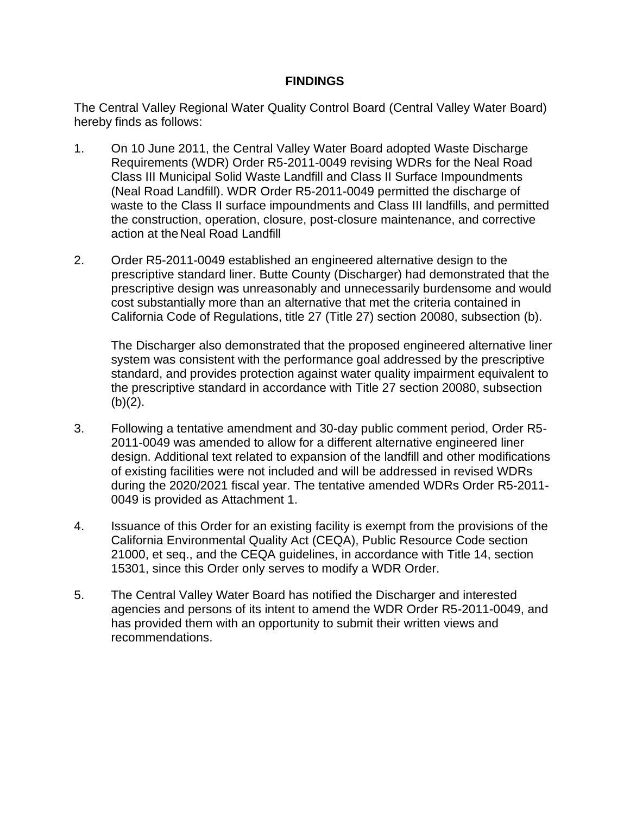### **FINDINGS**

The Central Valley Regional Water Quality Control Board (Central Valley Water Board) hereby finds as follows:

- 1. On 10 June 2011, the Central Valley Water Board adopted Waste Discharge Requirements (WDR) Order R5-2011-0049 revising WDRs for the Neal Road Class III Municipal Solid Waste Landfill and Class II Surface Impoundments (Neal Road Landfill). WDR Order R5-2011-0049 permitted the discharge of waste to the Class II surface impoundments and Class III landfills, and permitted the construction, operation, closure, post-closure maintenance, and corrective action at the Neal Road Landfill
- 2. Order R5-2011-0049 established an engineered alternative design to the prescriptive standard liner. Butte County (Discharger) had demonstrated that the prescriptive design was unreasonably and unnecessarily burdensome and would cost substantially more than an alternative that met the criteria contained in California Code of Regulations, title 27 (Title 27) section 20080, subsection (b).

The Discharger also demonstrated that the proposed engineered alternative liner system was consistent with the performance goal addressed by the prescriptive standard, and provides protection against water quality impairment equivalent to the prescriptive standard in accordance with Title 27 section 20080, subsection  $(b)(2)$ .

- 3. Following a tentative amendment and 30-day public comment period, Order R5- 2011-0049 was amended to allow for a different alternative engineered liner design. Additional text related to expansion of the landfill and other modifications of existing facilities were not included and will be addressed in revised WDRs during the 2020/2021 fiscal year. The tentative amended WDRs Order R5-2011- 0049 is provided as Attachment 1.
- 4. Issuance of this Order for an existing facility is exempt from the provisions of the California Environmental Quality Act (CEQA), Public Resource Code section 21000, et seq., and the CEQA guidelines, in accordance with Title 14, section 15301, since this Order only serves to modify a WDR Order.
- 5. The Central Valley Water Board has notified the Discharger and interested agencies and persons of its intent to amend the WDR Order R5-2011-0049, and has provided them with an opportunity to submit their written views and recommendations.